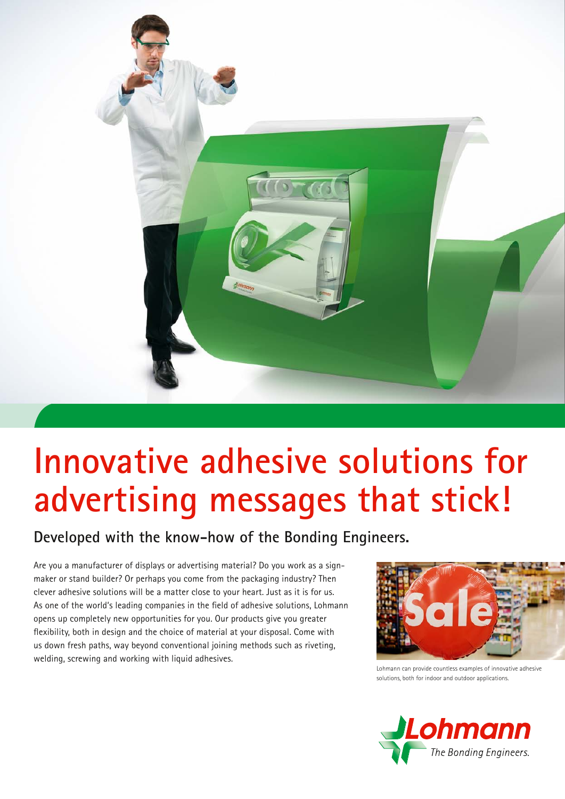

# **Innovative adhesive solutions for advertising messages that stick!**

### **Developed with the know-how of the Bonding Engineers.**

Are you a manufacturer of displays or advertising material? Do you work as a signmaker or stand builder? Or perhaps you come from the packaging industry? Then clever adhesive solutions will be a matter close to your heart. Just as it is for us. As one of the world's leading companies in the field of adhesive solutions, Lohmann opens up completely new opportunities for you. Our products give you greater flexibility, both in design and the choice of material at your disposal. Come with us down fresh paths, way beyond conventional joining methods such as riveting, welding, screwing and working with liquid adhesives.



Lohmann can provide countless examples of innovative adhesive solutions, both for indoor and outdoor applications.

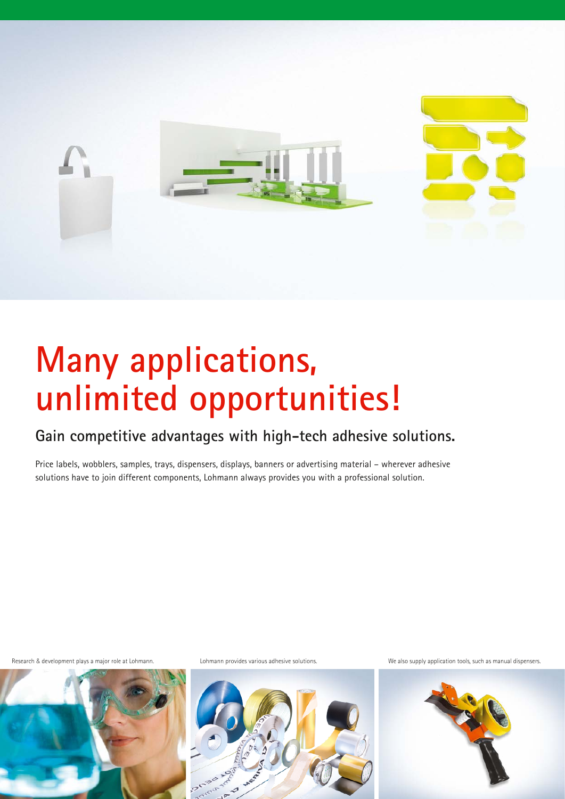

# **Many applications, unlimited opportunities!**

### **Gain competitive advantages with high-tech adhesive solutions.**

Price labels, wobblers, samples, trays, dispensers, displays, banners or advertising material – wherever adhesive solutions have to join different components, Lohmann always provides you with a professional solution.





Research & development plays a major role at Lohmann. Lohmann provides various adhesive solutions. Ne also supply application tools, such as manual dispensers.

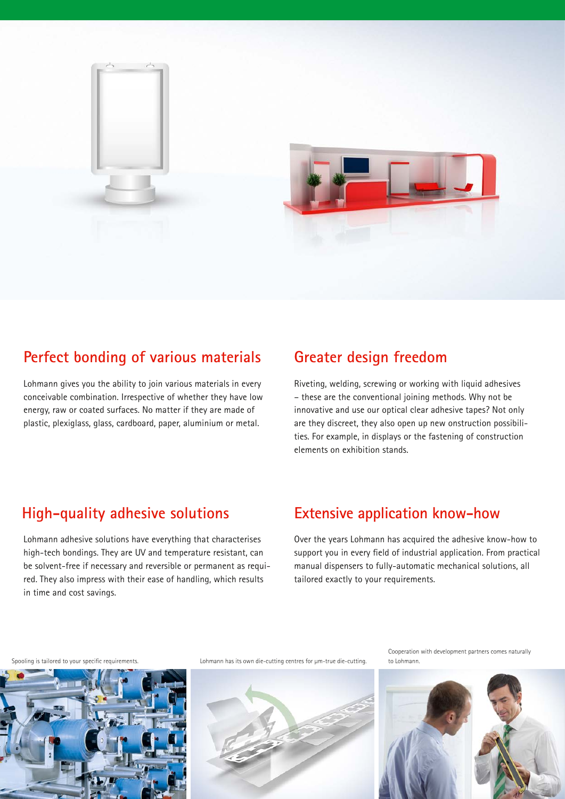

#### **Perfect bonding of various materials**

Lohmann gives you the ability to join various materials in every conceivable combination. Irrespective of whether they have low energy, raw or coated surfaces. No matter if they are made of plastic, plexiglass, glass, cardboard, paper, aluminium or metal.

#### **Greater design freedom**

Riveting, welding, screwing or working with liquid adhesives – these are the conventional joining methods. Why not be innovative and use our optical clear adhesive tapes? Not only are they discreet, they also open up new onstruction possibilities. For example, in displays or the fastening of construction elements on exhibition stands.

#### **High-quality adhesive solutions**

Lohmann adhesive solutions have everything that characterises high-tech bondings. They are UV and temperature resistant, can be solvent-free if necessary and reversible or permanent as required. They also impress with their ease of handling, which results in time and cost savings.

### **Extensive application know-how**

Over the years Lohmann has acquired the adhesive know-how to support you in every field of industrial application. From practical manual dispensers to fully-automatic mechanical solutions, all tailored exactly to your requirements.



Spooling is tailored to your specific requirements. Lohmann has its own die-cutting centres for μm-true die-cutting.



Cooperation with development partners comes naturally to Lohmann.